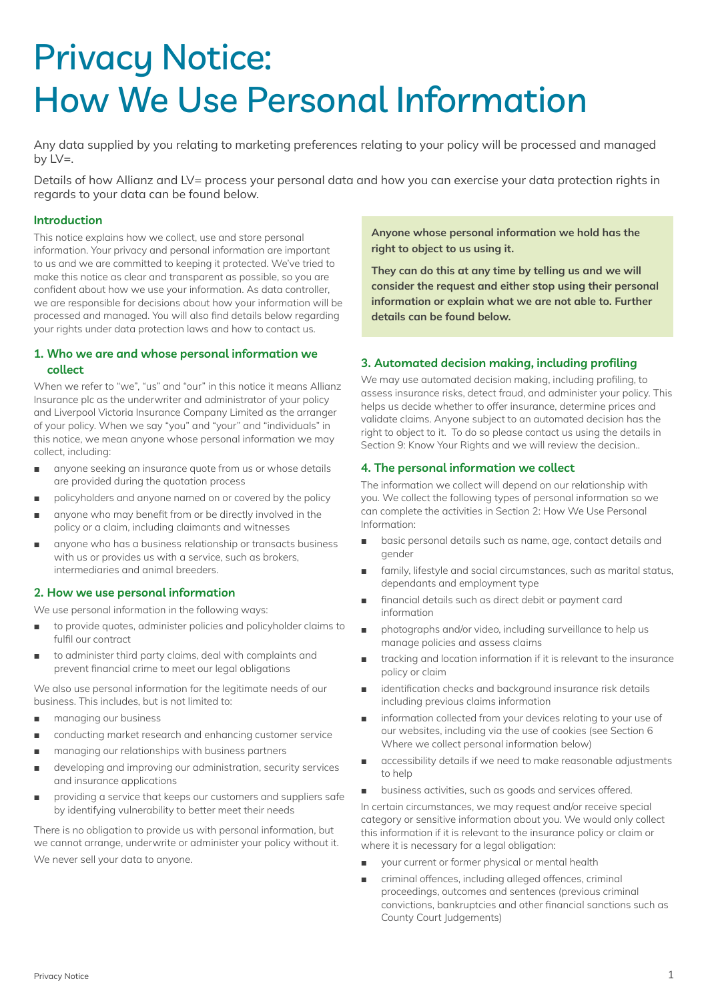# Privacy Notice: How We Use Personal Information

Any data supplied by you relating to marketing preferences relating to your policy will be processed and managed by  $LV =$ .

Details of how Allianz and LV= process your personal data and how you can exercise your data protection rights in regards to your data can be found below.

#### **Introduction**

This notice explains how we collect, use and store personal information. Your privacy and personal information are important to us and we are committed to keeping it protected. We've tried to make this notice as clear and transparent as possible, so you are confident about how we use your information. As data controller, we are responsible for decisions about how your information will be processed and managed. You will also find details below regarding your rights under data protection laws and how to contact us.

## **1. Who we are and whose personal information we collect**

When we refer to "we", "us" and "our" in this notice it means Allianz Insurance plc as the underwriter and administrator of your policy and Liverpool Victoria Insurance Company Limited as the arranger of your policy. When we say "you" and "your" and "individuals" in this notice, we mean anyone whose personal information we may collect, including:

- anyone seeking an insurance quote from us or whose details are provided during the quotation process
- policyholders and anyone named on or covered by the policy
- anyone who may benefit from or be directly involved in the policy or a claim, including claimants and witnesses
- anyone who has a business relationship or transacts business with us or provides us with a service, such as brokers, intermediaries and animal breeders.

#### **2. How we use personal information**

We use personal information in the following ways:

- to provide quotes, administer policies and policyholder claims to fulfil our contract
- to administer third party claims, deal with complaints and prevent financial crime to meet our legal obligations

We also use personal information for the legitimate needs of our business. This includes, but is not limited to:

- managing our business
- conducting market research and enhancing customer service
- managing our relationships with business partners
- developing and improving our administration, security services and insurance applications
- providing a service that keeps our customers and suppliers safe by identifying vulnerability to better meet their needs

There is no obligation to provide us with personal information, but we cannot arrange, underwrite or administer your policy without it. We never sell your data to anyone.

Anyone whose personal information we hold has the right to object to us using it.

They can do this at any time by telling us and we will consider the request and either stop using their personal information or explain what we are not able to. Further details can be found below.

# **3. Automated decision making, including profiling**

We may use automated decision making, including profiling, to assess insurance risks, detect fraud, and administer your policy. This helps us decide whether to offer insurance, determine prices and validate claims. Anyone subject to an automated decision has the right to object to it. To do so please contact us using the details in Section 9: Know Your Rights and we will review the decision..

#### **4. The personal information we collect**

The information we collect will depend on our relationship with you. We collect the following types of personal information so we can complete the activities in Section 2: How We Use Personal Information:

- basic personal details such as name, age, contact details and gender
- family, lifestyle and social circumstances, such as marital status, dependants and employment type
- financial details such as direct debit or payment card information
- photographs and/or video, including surveillance to help us manage policies and assess claims
- tracking and location information if it is relevant to the insurance policy or claim
- identification checks and background insurance risk details including previous claims information
- information collected from your devices relating to your use of our websites, including via the use of cookies (see Section 6 Where we collect personal information below)
- accessibility details if we need to make reasonable adjustments to help
- business activities, such as goods and services offered.

In certain circumstances, we may request and/or receive special category or sensitive information about you. We would only collect this information if it is relevant to the insurance policy or claim or where it is necessary for a legal obligation:

- your current or former physical or mental health
- criminal offences, including alleged offences, criminal proceedings, outcomes and sentences (previous criminal convictions, bankruptcies and other financial sanctions such as County Court Judgements)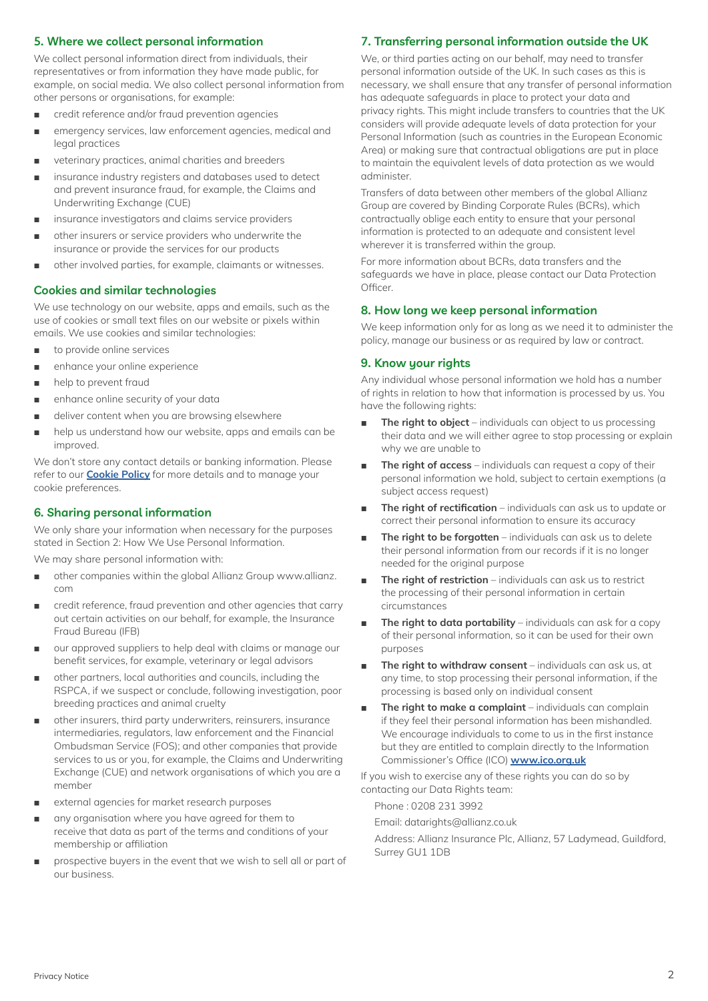# **5. Where we collect personal information**

We collect personal information direct from individuals, their representatives or from information they have made public, for example, on social media. We also collect personal information from other persons or organisations, for example:

- credit reference and/or fraud prevention agencies
- emergency services, law enforcement agencies, medical and legal practices
- veterinary practices, animal charities and breeders
- insurance industry registers and databases used to detect and prevent insurance fraud, for example, the Claims and Underwriting Exchange (CUE)
- insurance investigators and claims service providers
- other insurers or service providers who underwrite the insurance or provide the services for our products
- other involved parties, for example, claimants or witnesses.

#### **Cookies and similar technologies**

We use technology on our website, apps and emails, such as the use of cookies or small text files on our website or pixels within emails. We use cookies and similar technologies:

- to provide online services
- enhance your online experience
- help to prevent fraud
- enhance online security of your data
- deliver content when you are browsing elsewhere
- help us understand how our website, apps and emails can be improved.

We don't store any contact details or banking information. Please refer to our **[Cookie Policy](https://www.lv.com/insurance/terms/cookie-policy)** for more details and to manage your cookie preferences.

#### **6. Sharing personal information**

We only share your information when necessary for the purposes stated in Section 2: How We Use Personal Information.

We may share personal information with:

- other companies within the global Allianz Group www.allianz. com
- credit reference, fraud prevention and other agencies that carry out certain activities on our behalf, for example, the Insurance Fraud Bureau (IFB)
- our approved suppliers to help deal with claims or manage our benefit services, for example, veterinary or legal advisors
- other partners, local authorities and councils, including the RSPCA, if we suspect or conclude, following investigation, poor breeding practices and animal cruelty
- other insurers, third party underwriters, reinsurers, insurance intermediaries, regulators, law enforcement and the Financial Ombudsman Service (FOS); and other companies that provide services to us or you, for example, the Claims and Underwriting Exchange (CUE) and network organisations of which you are a member
- external agencies for market research purposes
- any organisation where you have agreed for them to receive that data as part of the terms and conditions of your membership or affiliation
- prospective buyers in the event that we wish to sell all or part of our business.

# **7. Transferring personal information outside the UK**

We, or third parties acting on our behalf, may need to transfer personal information outside of the UK. In such cases as this is necessary, we shall ensure that any transfer of personal information has adequate safeguards in place to protect your data and privacy rights. This might include transfers to countries that the UK considers will provide adequate levels of data protection for your Personal Information (such as countries in the European Economic Area) or making sure that contractual obligations are put in place to maintain the equivalent levels of data protection as we would administer.

Transfers of data between other members of the global Allianz Group are covered by Binding Corporate Rules (BCRs), which contractually oblige each entity to ensure that your personal information is protected to an adequate and consistent level wherever it is transferred within the group.

For more information about BCRs, data transfers and the safeguards we have in place, please contact our Data Protection Officer.

#### **8. How long we keep personal information**

We keep information only for as long as we need it to administer the policy, manage our business or as required by law or contract.

#### **9. Know your rights**

Any individual whose personal information we hold has a number of rights in relation to how that information is processed by us. You have the following rights:

- The right to object individuals can object to us processing their data and we will either agree to stop processing or explain why we are unable to
- The right of  $access -$  individuals can request a copy of their personal information we hold, subject to certain exemptions (a subject access request)
- The right of rectification individuals can ask us to update or correct their personal information to ensure its accuracy
- The right to be forgotten individuals can ask us to delete their personal information from our records if it is no longer needed for the original purpose
- The right of restriction individuals can ask us to restrict the processing of their personal information in certain circumstances
- The right to data portability individuals can ask for a copy of their personal information, so it can be used for their own purposes
- The right to withdraw consent individuals can ask us, at any time, to stop processing their personal information, if the processing is based only on individual consent
- The right to make a complaint  $-$  individuals can complain if they feel their personal information has been mishandled. We encourage individuals to come to us in the first instance but they are entitled to complain directly to the Information Commissioner's Office (ICO) [www.ico.org.uk](http://www.ico.org.uk)

If you wish to exercise any of these rights you can do so by contacting our Data Rights team:

Phone : 0208 231 3992

Email: datarights@allianz.co.uk

Address: Allianz Insurance Plc, Allianz, 57 Ladymead, Guildford, Surrey GU1 1DB